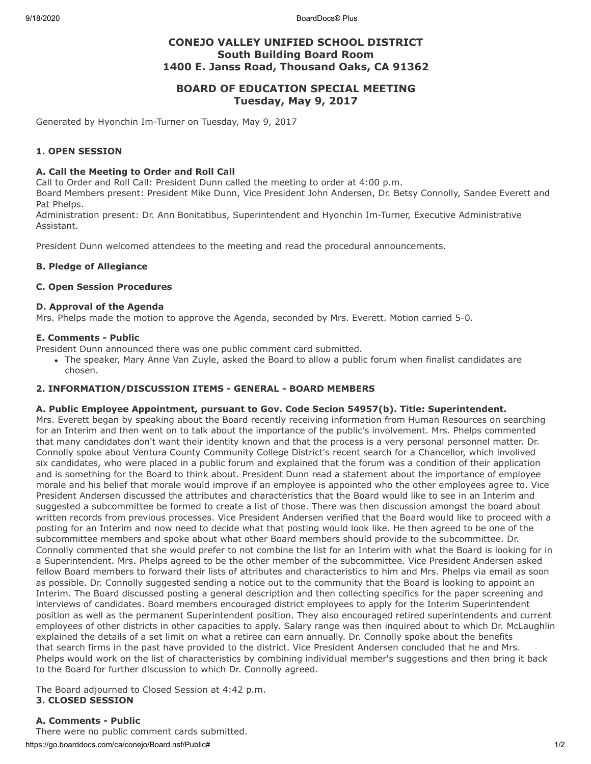9/18/2020 BoardDocs® Plus

# **CONEJO VALLEY UNIFIED SCHOOL DISTRICT South Building Board Room 1400 E. Janss Road, Thousand Oaks, CA 91362**

# **BOARD OF EDUCATION SPECIAL MEETING Tuesday, May 9, 2017**

Generated by Hyonchin Im-Turner on Tuesday, May 9, 2017

# **1. OPEN SESSION**

# **A. Call the Meeting to Order and Roll Call**

Call to Order and Roll Call: President Dunn called the meeting to order at 4:00 p.m.

Board Members present: President Mike Dunn, Vice President John Andersen, Dr. Betsy Connolly, Sandee Everett and Pat Phelps.

Administration present: Dr. Ann Bonitatibus, Superintendent and Hyonchin Im-Turner, Executive Administrative Assistant.

President Dunn welcomed attendees to the meeting and read the procedural announcements.

# **B. Pledge of Allegiance**

## **C. Open Session Procedures**

#### **D. Approval of the Agenda**

Mrs. Phelps made the motion to approve the Agenda, seconded by Mrs. Everett. Motion carried 5-0.

#### **E. Comments - Public**

President Dunn announced there was one public comment card submitted.

The speaker, Mary Anne Van Zuyle, asked the Board to allow a public forum when finalist candidates are chosen.

## **2. INFORMATION/DISCUSSION ITEMS - GENERAL - BOARD MEMBERS**

## **A. Public Employee Appointment, pursuant to Gov. Code Secion 54957(b). Title: Superintendent.**

Mrs. Everett began by speaking about the Board recently receiving information from Human Resources on searching for an Interim and then went on to talk about the importance of the public's involvement. Mrs. Phelps commented that many candidates don't want their identity known and that the process is a very personal personnel matter. Dr. Connolly spoke about Ventura County Community College District's recent search for a Chancellor, which involived six candidates, who were placed in a public forum and explained that the forum was a condition of their application and is something for the Board to think about. President Dunn read a statement about the importance of employee morale and his belief that morale would improve if an employee is appointed who the other employees agree to. Vice President Andersen discussed the attributes and characteristics that the Board would like to see in an Interim and suggested a subcommittee be formed to create a list of those. There was then discussion amongst the board about written records from previous processes. Vice President Andersen verified that the Board would like to proceed with a posting for an Interim and now need to decide what that posting would look like. He then agreed to be one of the subcommittee members and spoke about what other Board members should provide to the subcommittee. Dr. Connolly commented that she would prefer to not combine the list for an Interim with what the Board is looking for in a Superintendent. Mrs. Phelps agreed to be the other member of the subcommittee. Vice President Andersen asked fellow Board members to forward their lists of attributes and characteristics to him and Mrs. Phelps via email as soon as possible. Dr. Connolly suggested sending a notice out to the community that the Board is looking to appoint an Interim. The Board discussed posting a general description and then collecting specifics for the paper screening and interviews of candidates. Board members encouraged district employees to apply for the Interim Superintendent position as well as the permanent Superintendent position. They also encouraged retired superintendents and current employees of other districts in other capacities to apply. Salary range was then inquired about to which Dr. McLaughlin explained the details of a set limit on what a retiree can earn annually. Dr. Connolly spoke about the benefits that search firms in the past have provided to the district. Vice President Andersen concluded that he and Mrs. Phelps would work on the list of characteristics by combining individual member's suggestions and then bring it back to the Board for further discussion to which Dr. Connolly agreed.

The Board adjourned to Closed Session at 4:42 p.m. **3. CLOSED SESSION**

## **A. Comments - Public**

https://go.boarddocs.com/ca/conejo/Board.nsf/Public# 1/2 There were no public comment cards submitted.